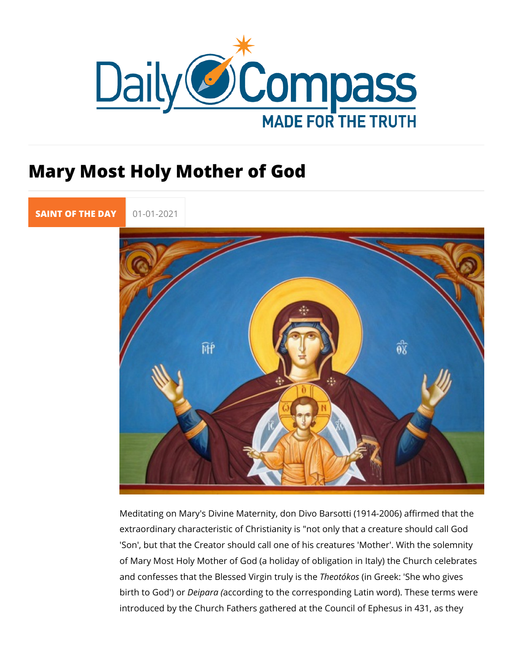## Mary Most Holy Mother of God

[SAINT OF TH](https://newdailycompass.com/en/santi-del-giorno)E 01-01-2021

Meditating on Mary's Divine Maternity, don Divo Barsotti (1914 extraordinary characteristic of Christianity is "not only that a 'Son', but that the Creator should call one of his creatures 'Mo of Mary Most Holy Mother of God (a holiday of obligation in Ita and confesses that the Blessed Vihregoinó t(rounslyGiseethe: 'She who give birth to God'eipara acqording to the corresponding Latin word). The introduced by the Church Fathers gathered at the Council of E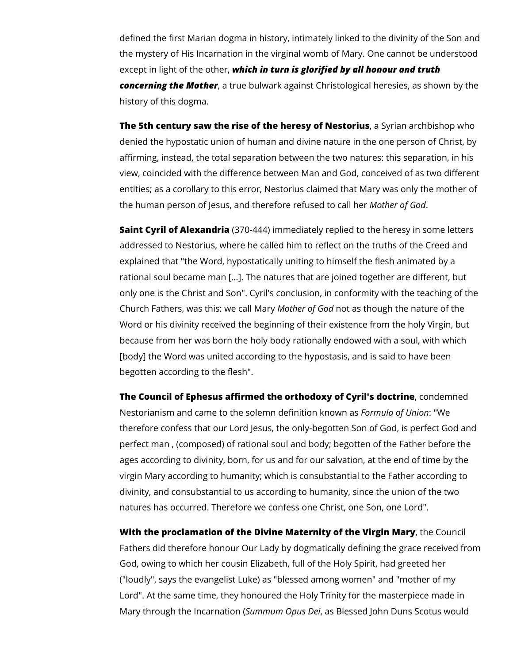defined the first Marian dogma in history, intimately linked to the divinity of the Son and the mystery of His Incarnation in the virginal womb of Mary. One cannot be understood except in light of the other, *which in turn is glorified by all honour and truth concerning the Mother*, a true bulwark against Christological heresies, as shown by the history of this dogma.

**The 5th century saw the rise of the heresy of Nestorius**, a Syrian archbishop who denied the hypostatic union of human and divine nature in the one person of Christ, by affirming, instead, the total separation between the two natures: this separation, in his view, coincided with the difference between Man and God, conceived of as two different entities; as a corollary to this error, Nestorius claimed that Mary was only the mother of the human person of Jesus, and therefore refused to call her *Mother of God*.

**Saint Cyril of Alexandria** (370-444) immediately replied to the heresy in some letters addressed to Nestorius, where he called him to reflect on the truths of the Creed and explained that "the Word, hypostatically uniting to himself the flesh animated by a rational soul became man […]. The natures that are joined together are different, but only one is the Christ and Son". Cyril's conclusion, in conformity with the teaching of the Church Fathers, was this: we call Mary *Mother of God* not as though the nature of the Word or his divinity received the beginning of their existence from the holy Virgin, but because from her was born the holy body rationally endowed with a soul, with which [body] the Word was united according to the hypostasis, and is said to have been begotten according to the flesh".

**The Council of Ephesus affirmed the orthodoxy of Cyril's doctrine**, condemned Nestorianism and came to the solemn definition known as *Formula of Union*: "We therefore confess that our Lord Jesus, the only-begotten Son of God, is perfect God and perfect man , (composed) of rational soul and body; begotten of the Father before the ages according to divinity, born, for us and for our salvation, at the end of time by the virgin Mary according to humanity; which is consubstantial to the Father according to divinity, and consubstantial to us according to humanity, since the union of the two natures has occurred. Therefore we confess one Christ, one Son, one Lord".

**With the proclamation of the Divine Maternity of the Virgin Mary**, the Council Fathers did therefore honour Our Lady by dogmatically defining the grace received from God, owing to which her cousin Elizabeth, full of the Holy Spirit, had greeted her ("loudly", says the evangelist Luke) as "blessed among women" and "mother of my Lord". At the same time, they honoured the Holy Trinity for the masterpiece made in Mary through the Incarnation (*Summum Opus Dei*, as Blessed John Duns Scotus would